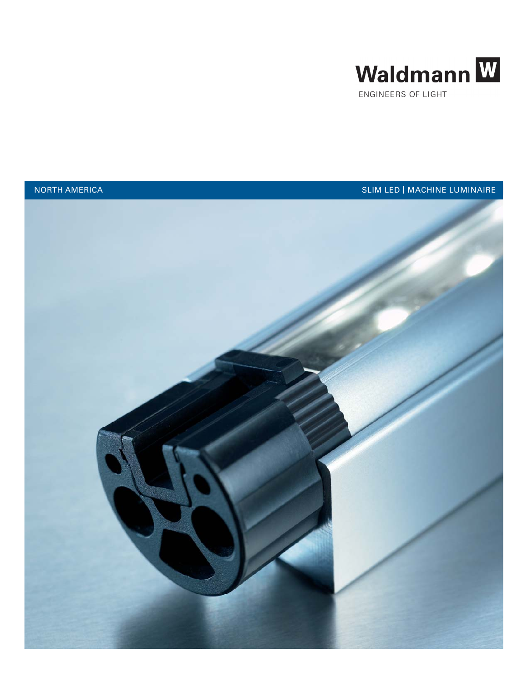



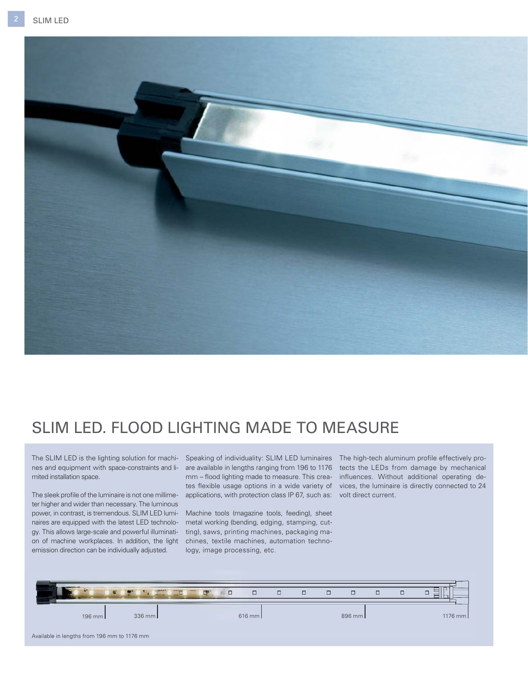

## SLIM LED. FLOOD LIGHTING MADE TO MEASURE

The SLIM LED is the lighting solution for machines and equipment with space-constraints and limited installation space.

The sleek profile of the luminaire is not one millimeter higher and wider than necessary. The luminous power, in contrast, is tremendous. SLIM LED luminaires are equipped with the latest LED technology. This allows large-scale and powerful illumination of machine workplaces. In addition, the light chines, textile machines, automation technoemission direction can be individually adjusted.

Speaking of individuality: SLIM LED luminaires The high-tech aluminum profile effectively promm – flood lighting made to measure. This crea- influences. Without additional operating deapplications, with protection class IP 67, such as: volt direct current.

Machine tools (magazine tools, feeding), sheet metal working (bending, edging, stamping, cutting), saws, printing machines, packaging malogy, image processing, etc.

are available in lengths ranging from 196 to 1176 tects the LEDs from damage by mechanical tes flexible usage options in a wide variety of vices, the luminaire is directly connected to 24

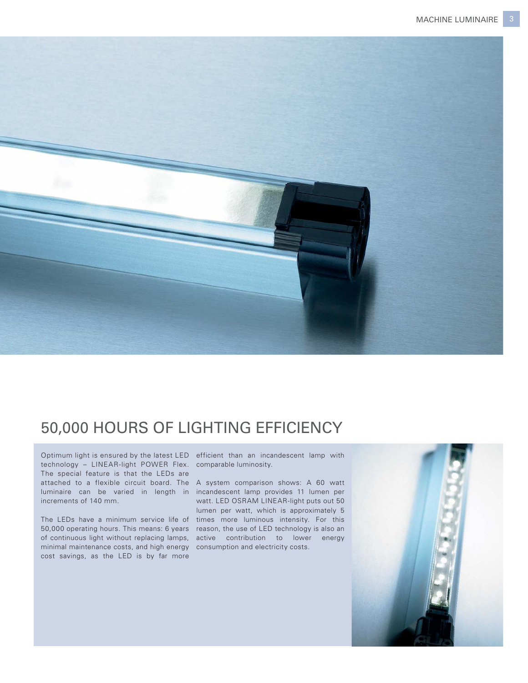

# 50,000 HOURS OF LIGHTING EFFICIENCY

Optimum light is ensured by the latest LED efficient than an incandescent lamp with technology – LINEAR-light POWER Flex. comparable luminosity. The special feature is that the LEDs are increments of 140 mm.

minimal maintenance costs, and high energy consumption and electricity costs. cost savings, as the LED is by far more

attached to a flexible circuit board. The A system comparison shows: A 60 watt luminaire can be varied in length in incandescent lamp provides 11 lumen per The LEDs have a minimum service life of times more luminous intensity. For this 50,000 operating hours. This means: 6 years reason, the use of LED technology is also an of continuous light without replacing lamps, active contribution to lower energy watt. LED OSRAM LINEAR-light puts out 50 lumen per watt, which is approximately 5

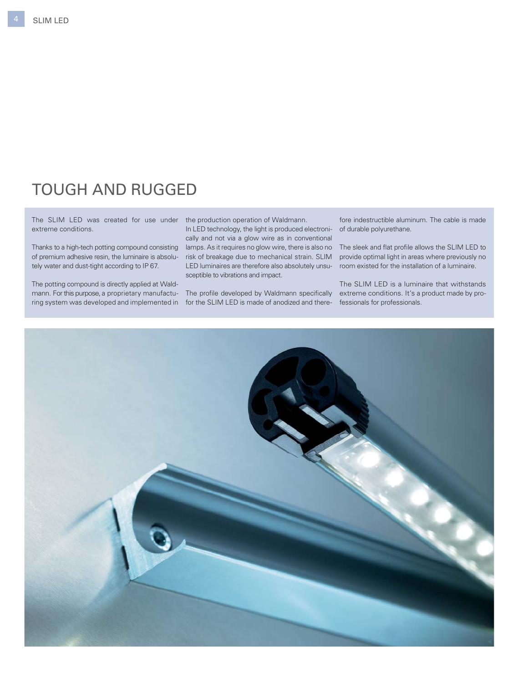## TOUGH AND RUGGED

The SLIM LED was created for use under the production operation of Waldmann. extreme conditions.

of premium adhesive resin, the luminaire is absolutely water and dust-tight according to IP 67.

The potting compound is directly applied at Waldmann. For this purpose, a proprietary manufactu- The profile developed by Waldmann specifically extreme conditions. It's a product made by proring system was developed and implemented in for the SLIM LED is made of anodized and there-fessionals for professionals.

In LED technology, the light is produced electronically and not via a glow wire as in conventional

Thanks to a high-tech potting compound consisting lamps. As it requires no glow wire, there is also no The sleek and flat profile allows the SLIM LED to risk of breakage due to mechanical strain. SLIM provide optimal light in areas where previously no LED luminaires are therefore also absolutely unsu-room existed for the installation of a luminaire. sceptible to vibrations and impact.

fore indestructible aluminum. The cable is made of durable polyurethane.

The SLIM LED is a luminaire that withstands

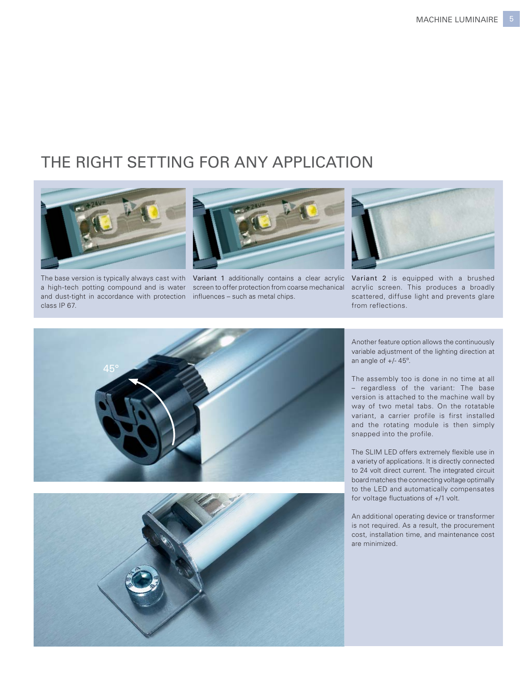### THE RIGHT SETTING FOR ANY APPLICATION



and dust-tight in accordance with protection influences - such as metal chips. a high-tech potting compound and is water class IP 67.



The base version is typically always cast with Variant 1 additionally contains a clear acrylic screen to offer protection from coarse mechanical



Variant 2 is equipped with a brushed acrylic screen. This produces a broadly scattered, diffuse light and prevents glare from reflections.





Another feature option allows the continuously variable adjustment of the lighting direction at an angle of +/- 45º.

The assembly too is done in no time at all – regardless of the variant: The base version is attached to the machine wall by way of two metal tabs. On the rotatable variant, a carrier profile is first installed and the rotating module is then simply snapped into the profile.

The SLIM LED offers extremely flexible use in a variety of applications. It is directly connected to 24 volt direct current. The integrated circuit board matches the connecting voltage optimally to the LED and automatically compensates for voltage fluctuations of  $+/1$  volt.

An additional operating device or transformer is not required. As a result, the procurement cost, installation time, and maintenance cost are minimized.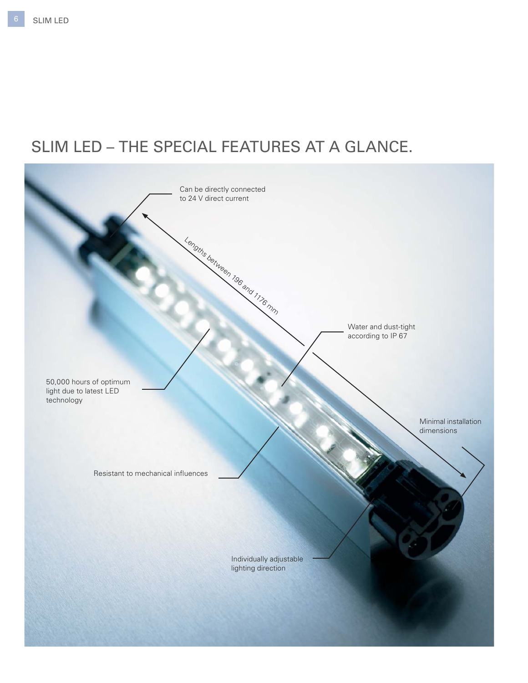# SLIM LED – THE SPECIAL FEATURES AT A GLANCE.

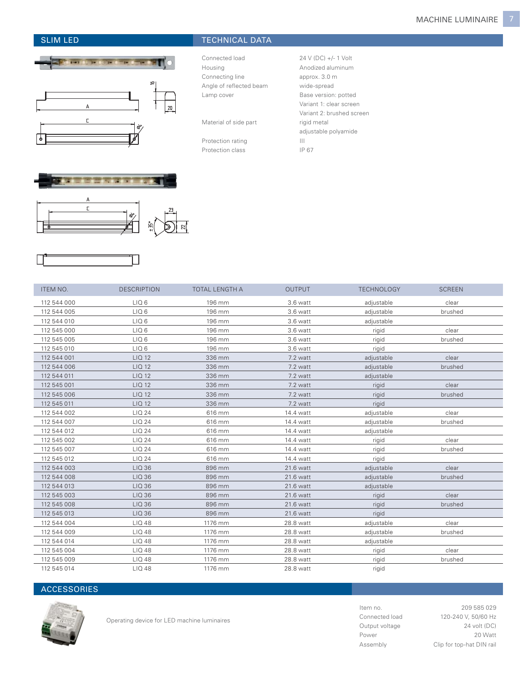

### SLIM LED TECHNICAL DATA

Connected load 24 V (DC) +/- 1 Volt Housing **Anodized aluminum** Connecting line approx. 3.0 m Angle of reflected beam wide-spread Lamp cover **Base version:** potted

Material of side part rigid metal

Protection rating III Protection class IP 67

Variant 1: clear screen Variant 2: brushed screen adjustable polyamide



| ITEM NO.    | <b>DESCRIPTION</b> | TOTAL LENGTH A | <b>OUTPUT</b> | <b>TECHNOLOGY</b> | <b>SCREEN</b> |
|-------------|--------------------|----------------|---------------|-------------------|---------------|
| 112 544 000 | LIQ <sub>6</sub>   | 196 mm         | 3.6 watt      | adjustable        | clear         |
| 112 544 005 | LIQ <sub>6</sub>   | 196 mm         | 3.6 watt      | adjustable        | brushed       |
| 112 544 010 | LIQ <sub>6</sub>   | 196 mm         | 3.6 watt      | adjustable        |               |
| 112 545 000 | LIQ <sub>6</sub>   | 196 mm         | 3.6 watt      | rigid             | clear         |
| 112 545 005 | LIQ <sub>6</sub>   | 196 mm         | 3.6 watt      | rigid             | brushed       |
| 112 545 010 | LIQ <sub>6</sub>   | 196 mm         | 3.6 watt      | rigid             |               |
| 112 544 001 | LIQ 12             | 336 mm         | 7.2 watt      | adjustable        | clear         |
| 112 544 006 | LIQ 12             | 336 mm         | 7.2 watt      | adjustable        | brushed       |
| 112 544 011 | LIQ 12             | 336 mm         | 7.2 watt      | adjustable        |               |
| 112 545 001 | LIQ 12             | 336 mm         | 7.2 watt      | rigid             | clear         |
| 112 545 006 | LIQ 12             | 336 mm         | 7.2 watt      | rigid             | brushed       |
| 112 545 011 | LIQ 12             | 336 mm         | 7.2 watt      | rigid             |               |
| 112 544 002 | LIQ 24             | 616 mm         | 14.4 watt     | adjustable        | clear         |
| 112 544 007 | LIQ 24             | 616 mm         | 14.4 watt     | adjustable        | brushed       |
| 112 544 012 | LIQ 24             | 616 mm         | 14.4 watt     | adjustable        |               |
| 112 545 002 | LIQ 24             | 616 mm         | 14.4 watt     | rigid             | clear         |
| 112 545 007 | LIQ 24             | 616 mm         | 14.4 watt     | rigid             | brushed       |
| 112 545 012 | LIQ 24             | 616 mm         | 14.4 watt     | rigid             |               |
| 112 544 003 | LIQ 36             | 896 mm         | 21.6 watt     | adjustable        | clear         |
| 112 544 008 | LIQ 36             | 896 mm         | 21.6 watt     | adjustable        | brushed       |
| 112 544 013 | LIQ 36             | 896 mm         | 21.6 watt     | adjustable        |               |
| 112 545 003 | LIQ 36             | 896 mm         | 21.6 watt     | rigid             | clear         |
| 112 545 008 | LIQ 36             | 896 mm         | 21.6 watt     | rigid             | brushed       |
| 112 545 013 | LIQ 36             | 896 mm         | 21.6 watt     | rigid             |               |
| 112 544 004 | LIQ 48             | 1176 mm        | 28.8 watt     | adjustable        | clear         |
| 112 544 009 | LIQ 48             | 1176 mm        | 28.8 watt     | adjustable        | brushed       |
| 112 544 014 | LIQ 48             | 1176 mm        | 28.8 watt     | adjustable        |               |
| 112 545 004 | LIQ 48             | 1176 mm        | 28.8 watt     | rigid             | clear         |
| 112 545 009 | LIQ 48             | 1176 mm        | 28.8 watt     | rigid             | brushed       |
| 112 545 014 | LIQ 48             | 1176 mm        | 28.8 watt     | rigid             |               |

### **ACCESSORIES**



Operating device for LED machine luminaires

Item no. 209 585 029 Connected load 120-240 V, 50/60 Hz Output voltage 24 volt (DC) Power 20 Watt Assembly Clip for top-hat DIN rail